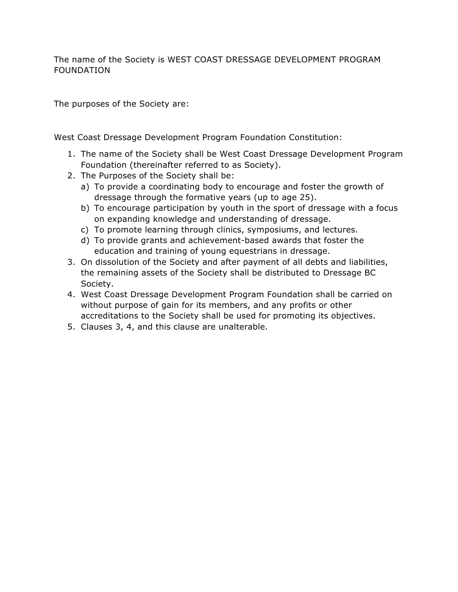The name of the Society is WEST COAST DRESSAGE DEVELOPMENT PROGRAM FOUNDATION

The purposes of the Society are:

West Coast Dressage Development Program Foundation Constitution:

- 1. The name of the Society shall be West Coast Dressage Development Program Foundation (thereinafter referred to as Society).
- 2. The Purposes of the Society shall be:
	- a) To provide a coordinating body to encourage and foster the growth of dressage through the formative years (up to age 25).
	- b) To encourage participation by youth in the sport of dressage with a focus on expanding knowledge and understanding of dressage.
	- c) To promote learning through clinics, symposiums, and lectures.
	- d) To provide grants and achievement-based awards that foster the education and training of young equestrians in dressage.
- 3. On dissolution of the Society and after payment of all debts and liabilities, the remaining assets of the Society shall be distributed to Dressage BC Society.
- 4. West Coast Dressage Development Program Foundation shall be carried on without purpose of gain for its members, and any profits or other accreditations to the Society shall be used for promoting its objectives.
- 5. Clauses 3, 4, and this clause are unalterable.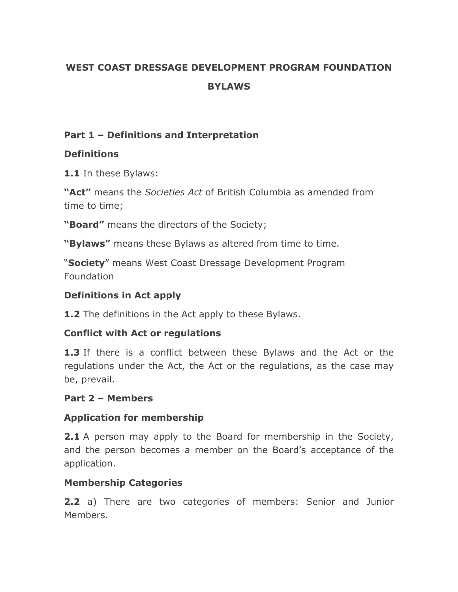# **WEST COAST DRESSAGE DEVELOPMENT PROGRAM FOUNDATION BYLAWS**

### **Part 1 – Definitions and Interpretation**

# **Definitions**

**1.1** In these Bylaws:

**"Act"** means the *Societies Act* of British Columbia as amended from time to time;

**"Board"** means the directors of the Society;

**"Bylaws"** means these Bylaws as altered from time to time.

"**Society**" means West Coast Dressage Development Program Foundation

# **Definitions in Act apply**

**1.2** The definitions in the Act apply to these Bylaws.

# **Conflict with Act or regulations**

**1.3** If there is a conflict between these Bylaws and the Act or the regulations under the Act, the Act or the regulations, as the case may be, prevail.

# **Part 2 – Members**

# **Application for membership**

**2.1** A person may apply to the Board for membership in the Society, and the person becomes a member on the Board's acceptance of the application.

# **Membership Categories**

**2.2** a) There are two categories of members: Senior and Junior Members.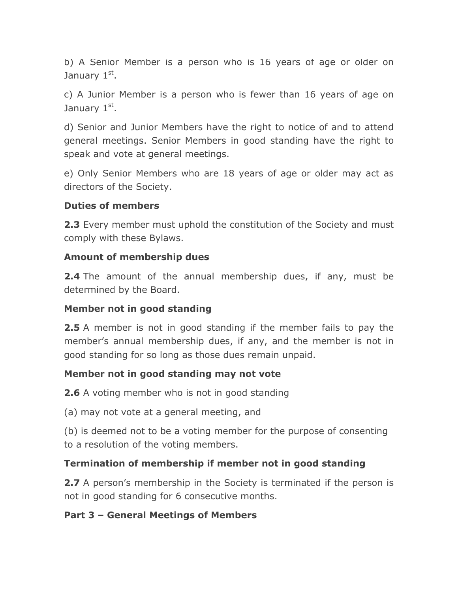b) A Senior Member is a person who is 16 years of age or older on January 1st.

c) A Junior Member is a person who is fewer than 16 years of age on January 1st.

d) Senior and Junior Members have the right to notice of and to attend general meetings. Senior Members in good standing have the right to speak and vote at general meetings.

e) Only Senior Members who are 18 years of age or older may act as directors of the Society.

#### **Duties of members**

**2.3** Every member must uphold the constitution of the Society and must comply with these Bylaws.

#### **Amount of membership dues**

**2.4** The amount of the annual membership dues, if any, must be determined by the Board.

### **Member not in good standing**

**2.5** A member is not in good standing if the member fails to pay the member's annual membership dues, if any, and the member is not in good standing for so long as those dues remain unpaid.

### **Member not in good standing may not vote**

**2.6** A voting member who is not in good standing

(a) may not vote at a general meeting, and

(b) is deemed not to be a voting member for the purpose of consenting to a resolution of the voting members.

### **Termination of membership if member not in good standing**

**2.7** A person's membership in the Society is terminated if the person is not in good standing for 6 consecutive months.

### **Part 3 – General Meetings of Members**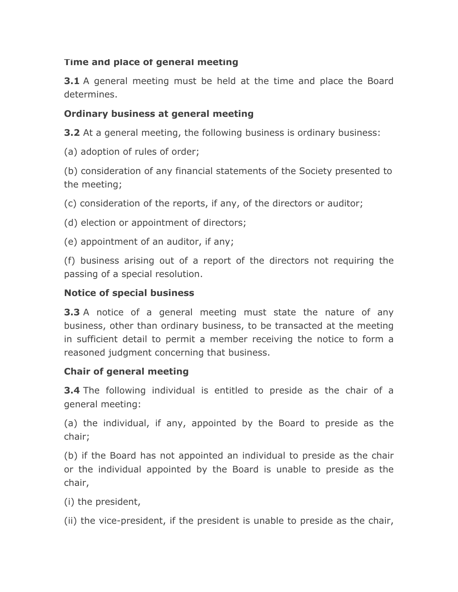### **Time and place of general meeting**

**3.1** A general meeting must be held at the time and place the Board determines.

### **Ordinary business at general meeting**

**3.2** At a general meeting, the following business is ordinary business:

(a) adoption of rules of order;

(b) consideration of any financial statements of the Society presented to the meeting;

(c) consideration of the reports, if any, of the directors or auditor;

(d) election or appointment of directors;

(e) appointment of an auditor, if any;

(f) business arising out of a report of the directors not requiring the passing of a special resolution.

### **Notice of special business**

**3.3** A notice of a general meeting must state the nature of any business, other than ordinary business, to be transacted at the meeting in sufficient detail to permit a member receiving the notice to form a reasoned judgment concerning that business.

### **Chair of general meeting**

**3.4** The following individual is entitled to preside as the chair of a general meeting:

(a) the individual, if any, appointed by the Board to preside as the chair;

(b) if the Board has not appointed an individual to preside as the chair or the individual appointed by the Board is unable to preside as the chair,

(i) the president,

(ii) the vice-president, if the president is unable to preside as the chair,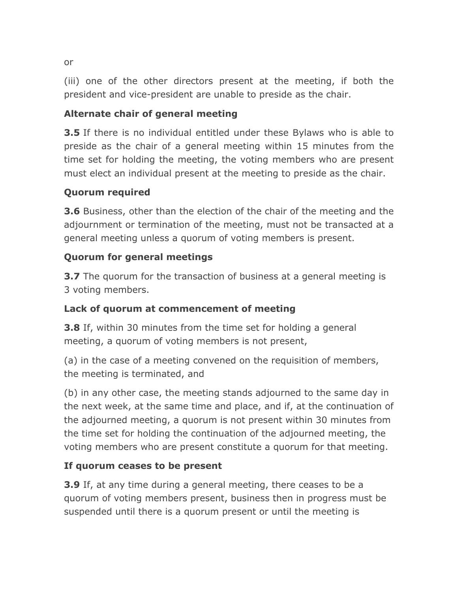(iii) one of the other directors present at the meeting, if both the president and vice-president are unable to preside as the chair.

### **Alternate chair of general meeting**

**3.5** If there is no individual entitled under these Bylaws who is able to preside as the chair of a general meeting within 15 minutes from the time set for holding the meeting, the voting members who are present must elect an individual present at the meeting to preside as the chair.

# **Quorum required**

**3.6** Business, other than the election of the chair of the meeting and the adjournment or termination of the meeting, must not be transacted at a general meeting unless a quorum of voting members is present.

# **Quorum for general meetings**

**3.7** The quorum for the transaction of business at a general meeting is 3 voting members.

### **Lack of quorum at commencement of meeting**

**3.8** If, within 30 minutes from the time set for holding a general meeting, a quorum of voting members is not present,

(a) in the case of a meeting convened on the requisition of members, the meeting is terminated, and

(b) in any other case, the meeting stands adjourned to the same day in the next week, at the same time and place, and if, at the continuation of the adjourned meeting, a quorum is not present within 30 minutes from the time set for holding the continuation of the adjourned meeting, the voting members who are present constitute a quorum for that meeting.

### **If quorum ceases to be present**

**3.9** If, at any time during a general meeting, there ceases to be a quorum of voting members present, business then in progress must be suspended until there is a quorum present or until the meeting is

or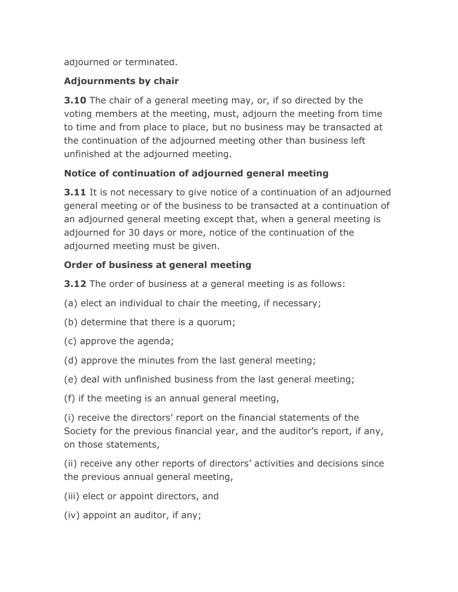adjourned or terminated.

# **Adjournments by chair**

**3.10** The chair of a general meeting may, or, if so directed by the voting members at the meeting, must, adjourn the meeting from time to time and from place to place, but no business may be transacted at the continuation of the adjourned meeting other than business left unfinished at the adjourned meeting.

# **Notice of continuation of adjourned general meeting**

**3.11** It is not necessary to give notice of a continuation of an adjourned general meeting or of the business to be transacted at a continuation of an adjourned general meeting except that, when a general meeting is adjourned for 30 days or more, notice of the continuation of the adjourned meeting must be given.

# **Order of business at general meeting**

**3.12** The order of business at a general meeting is as follows:

- (a) elect an individual to chair the meeting, if necessary;
- (b) determine that there is a quorum;
- (c) approve the agenda;
- (d) approve the minutes from the last general meeting;
- (e) deal with unfinished business from the last general meeting;
- (f) if the meeting is an annual general meeting,

(i) receive the directors' report on the financial statements of the Society for the previous financial year, and the auditor's report, if any, on those statements,

(ii) receive any other reports of directors' activities and decisions since the previous annual general meeting,

- (iii) elect or appoint directors, and
- (iv) appoint an auditor, if any;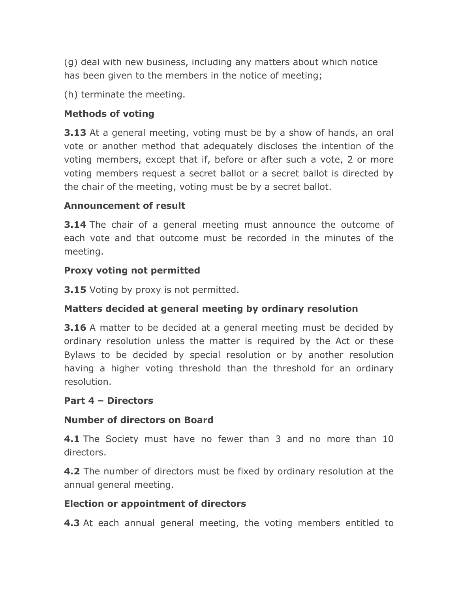(g) deal with new business, including any matters about which notice has been given to the members in the notice of meeting;

(h) terminate the meeting.

### **Methods of voting**

**3.13** At a general meeting, voting must be by a show of hands, an oral vote or another method that adequately discloses the intention of the voting members, except that if, before or after such a vote, 2 or more voting members request a secret ballot or a secret ballot is directed by the chair of the meeting, voting must be by a secret ballot.

#### **Announcement of result**

**3.14** The chair of a general meeting must announce the outcome of each vote and that outcome must be recorded in the minutes of the meeting.

#### **Proxy voting not permitted**

**3.15** Voting by proxy is not permitted.

### **Matters decided at general meeting by ordinary resolution**

**3.16** A matter to be decided at a general meeting must be decided by ordinary resolution unless the matter is required by the Act or these Bylaws to be decided by special resolution or by another resolution having a higher voting threshold than the threshold for an ordinary resolution.

#### **Part 4 – Directors**

### **Number of directors on Board**

**4.1** The Society must have no fewer than 3 and no more than 10 directors.

**4.2** The number of directors must be fixed by ordinary resolution at the annual general meeting.

### **Election or appointment of directors**

**4.3** At each annual general meeting, the voting members entitled to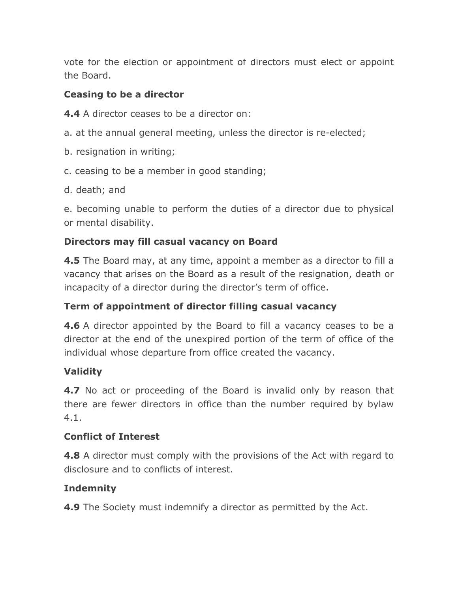vote for the election or appointment of directors must elect or appoint the Board.

#### **Ceasing to be a director**

**4.4** A director ceases to be a director on:

- a. at the annual general meeting, unless the director is re-elected;
- b. resignation in writing;
- c. ceasing to be a member in good standing;
- d. death; and

e. becoming unable to perform the duties of a director due to physical or mental disability.

### **Directors may fill casual vacancy on Board**

**4.5** The Board may, at any time, appoint a member as a director to fill a vacancy that arises on the Board as a result of the resignation, death or incapacity of a director during the director's term of office.

### **Term of appointment of director filling casual vacancy**

**4.6** A director appointed by the Board to fill a vacancy ceases to be a director at the end of the unexpired portion of the term of office of the individual whose departure from office created the vacancy.

### **Validity**

**4.7** No act or proceeding of the Board is invalid only by reason that there are fewer directors in office than the number required by bylaw 4.1.

#### **Conflict of Interest**

**4.8** A director must comply with the provisions of the Act with regard to disclosure and to conflicts of interest.

### **Indemnity**

**4.9** The Society must indemnify a director as permitted by the Act.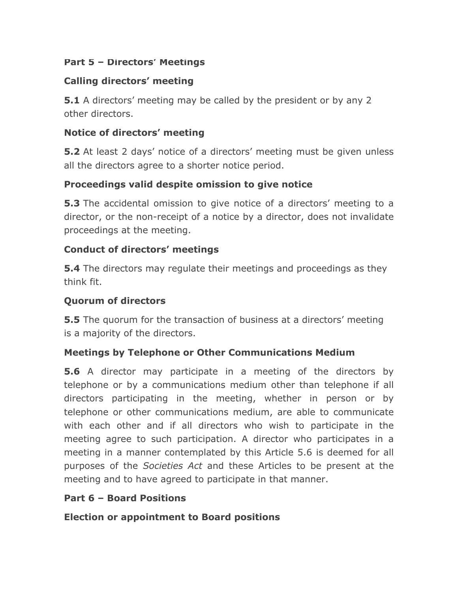### **Part 5 – Directors' Meetings**

### **Calling directors' meeting**

**5.1** A directors' meeting may be called by the president or by any 2 other directors.

### **Notice of directors' meeting**

**5.2** At least 2 days' notice of a directors' meeting must be given unless all the directors agree to a shorter notice period.

### **Proceedings valid despite omission to give notice**

**5.3** The accidental omission to give notice of a directors' meeting to a director, or the non-receipt of a notice by a director, does not invalidate proceedings at the meeting.

### **Conduct of directors' meetings**

**5.4** The directors may regulate their meetings and proceedings as they think fit.

#### **Quorum of directors**

**5.5** The quorum for the transaction of business at a directors' meeting is a majority of the directors.

### **Meetings by Telephone or Other Communications Medium**

**5.6** A director may participate in a meeting of the directors by telephone or by a communications medium other than telephone if all directors participating in the meeting, whether in person or by telephone or other communications medium, are able to communicate with each other and if all directors who wish to participate in the meeting agree to such participation. A director who participates in a meeting in a manner contemplated by this Article 5.6 is deemed for all purposes of the *Societies Act* and these Articles to be present at the meeting and to have agreed to participate in that manner.

### **Part 6 – Board Positions**

**Election or appointment to Board positions**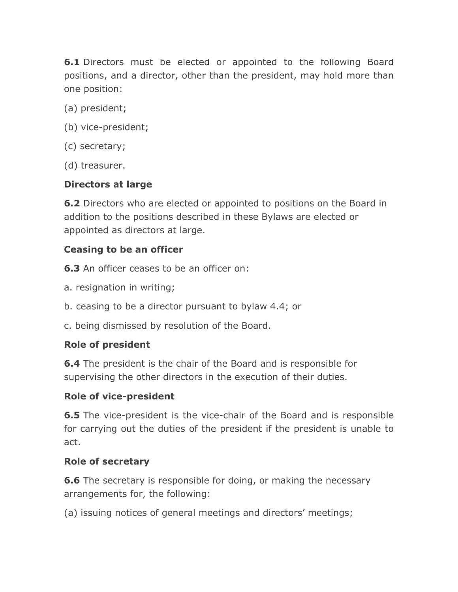**6.1** Directors must be elected or appointed to the following Board positions, and a director, other than the president, may hold more than one position:

- (a) president;
- (b) vice-president;
- (c) secretary;
- (d) treasurer.

#### **Directors at large**

**6.2** Directors who are elected or appointed to positions on the Board in addition to the positions described in these Bylaws are elected or appointed as directors at large.

#### **Ceasing to be an officer**

**6.3** An officer ceases to be an officer on:

- a. resignation in writing;
- b. ceasing to be a director pursuant to bylaw 4.4; or
- c. being dismissed by resolution of the Board.

#### **Role of president**

**6.4** The president is the chair of the Board and is responsible for supervising the other directors in the execution of their duties.

#### **Role of vice-president**

**6.5** The vice-president is the vice-chair of the Board and is responsible for carrying out the duties of the president if the president is unable to act.

#### **Role of secretary**

**6.6** The secretary is responsible for doing, or making the necessary arrangements for, the following:

(a) issuing notices of general meetings and directors' meetings;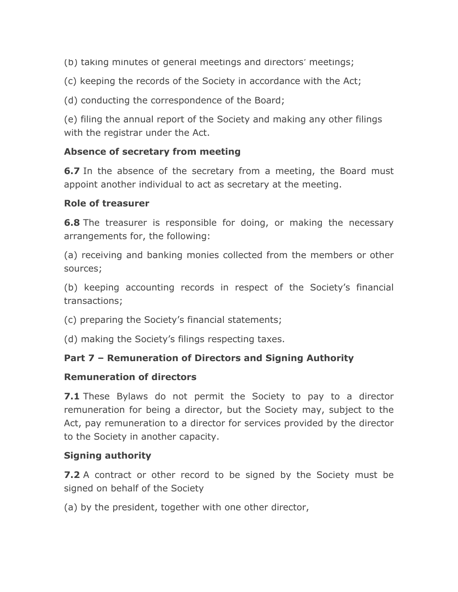(b) taking minutes of general meetings and directors' meetings;

(c) keeping the records of the Society in accordance with the Act;

(d) conducting the correspondence of the Board;

(e) filing the annual report of the Society and making any other filings with the registrar under the Act.

#### **Absence of secretary from meeting**

**6.7** In the absence of the secretary from a meeting, the Board must appoint another individual to act as secretary at the meeting.

#### **Role of treasurer**

**6.8** The treasurer is responsible for doing, or making the necessary arrangements for, the following:

(a) receiving and banking monies collected from the members or other sources;

(b) keeping accounting records in respect of the Society's financial transactions;

(c) preparing the Society's financial statements;

(d) making the Society's filings respecting taxes.

### **Part 7 – Remuneration of Directors and Signing Authority**

#### **Remuneration of directors**

**7.1** These Bylaws do not permit the Society to pay to a director remuneration for being a director, but the Society may, subject to the Act, pay remuneration to a director for services provided by the director to the Society in another capacity.

### **Signing authority**

**7.2** A contract or other record to be signed by the Society must be signed on behalf of the Society

(a) by the president, together with one other director,